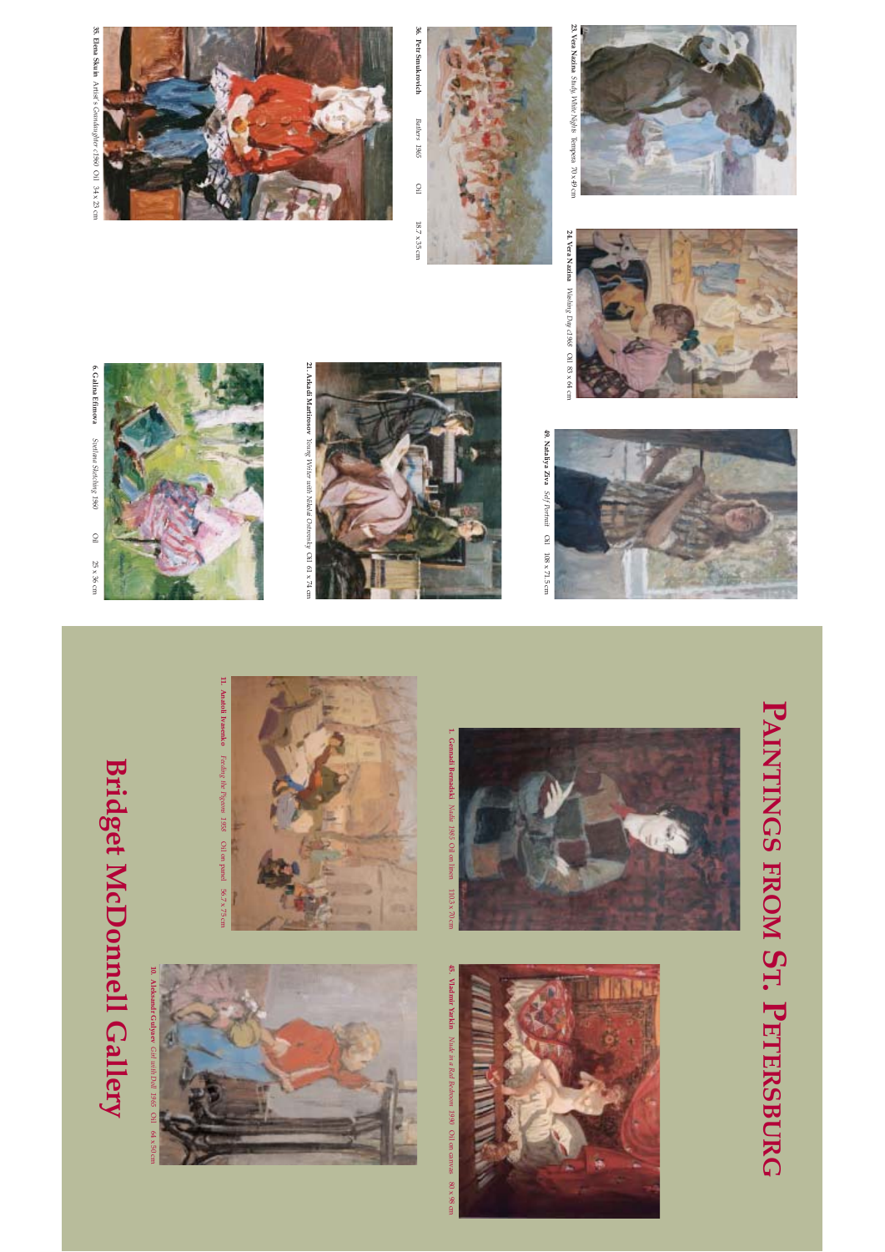## **Bridget McDonnell Gallery Bridget McDonnell Gallery**







**21. Arkadi Martirosov**

*Young Writer with Nikolai Ostrovsky*

21. Arkadi Martirosov Young Writer with Nikolai Ostrovsky Oil 61 x 74 cm

Oil 61 x 74 cm





45. Vladmir Yarkin Nude in a Red Bedroom 1990 Oil on canvas 80 x 98 cm **45. Vladmir Yarkin** *Nude in a Red Bedroom 1990* Oil on canvas 80 x 98 cm



49. Nataliya Ziva Seff Portrait Oil 108 x 71.5 cm **49. Nataliya Ziva** *Self Portrait* Oil 108 x 71.5 cm



**PAINTINGS**

 **FROM**

**ST. PETERSBURG**







*Study, White Nights* Tempera 70 x 49 cm



36. Petr Smukrovich **36. Petr Smukrovich** Bathers 1965 *Bathers 1965*  $\begin{array}{c} 1 \end{array}$ Oil 18.7 x 35 cm  $18.7\times35\,\mathrm{cm}$ 



23. Vera Nazina $\mathcal{S}\mathit{tudy}$  V<br/>hite Nights Tempera 70 x 49 cm **23. Vera Nazina** 



35. Elena Skuin Artist's Grandaughter c1960 Oil 34 x 23 cm Oil 25 x 36 cm **35. Elena Skuin** Artist's *Grandaughter c1960* Oil 34 x 23 cm

**6. Galina Efimova** 

*Svetlana Sketching 1960*

 $\Xi$ 

 $25\times36\,\mathrm{cm}$ 

6. Galina Efimova Svetlana Sketching 1960